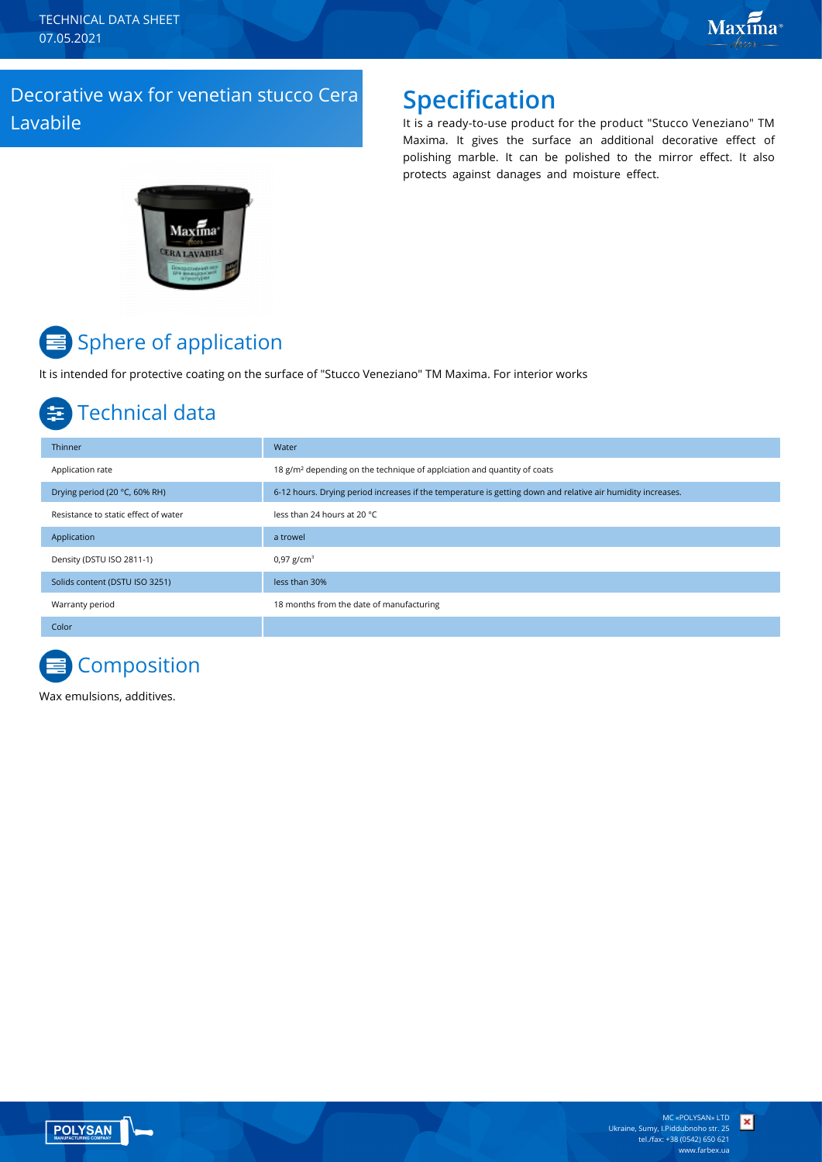TECHNICAL DATA SHEET 07.05.2021

### Decorative wax for venetian stucco Cera Lavabile

### **Specification**

It is a ready-to-use product for the product "Stucco Veneziano" TM Maxima. It gives the surface an additional decorative effect of polishing marble. It can be polished to the mirror effect. It also protects against danages and moisture effect.



# Sphere of application

It is intended for protective coating on the surface of "Stucco Veneziano" TM Maxima. For interior works

### Technical data

| Thinner                              | Water                                                                                                       |
|--------------------------------------|-------------------------------------------------------------------------------------------------------------|
| Application rate                     | 18 g/m <sup>2</sup> depending on the technique of applciation and quantity of coats                         |
| Drying period (20 °C, 60% RH)        | 6-12 hours. Drying period increases if the temperature is getting down and relative air humidity increases. |
| Resistance to static effect of water | less than 24 hours at 20 °C                                                                                 |
| Application                          | a trowel                                                                                                    |
| Density (DSTU ISO 2811-1)            | 0,97 $g/cm^{3}$                                                                                             |
| Solids content (DSTU ISO 3251)       | less than 30%                                                                                               |
| Warranty period                      | 18 months from the date of manufacturing                                                                    |
| Color                                |                                                                                                             |

## **Composition**

Wax emulsions, additives.



 $\vert x \vert$